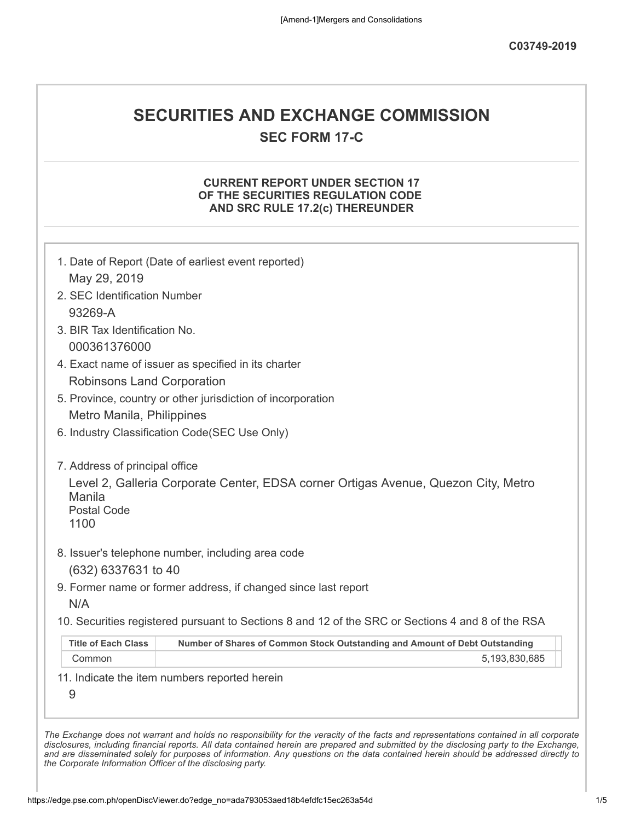# **SECURITIES AND EXCHANGE COMMISSION**

**SEC FORM 17-C**

# **CURRENT REPORT UNDER SECTION 17 OF THE SECURITIES REGULATION CODE AND SRC RULE 17.2(c) THEREUNDER**

| May 29, 2019                      | 1. Date of Report (Date of earliest event reported)                                               |
|-----------------------------------|---------------------------------------------------------------------------------------------------|
| 2. SEC Identification Number      |                                                                                                   |
| 93269-A                           |                                                                                                   |
| 3. BIR Tax Identification No.     |                                                                                                   |
| 000361376000                      |                                                                                                   |
|                                   | 4. Exact name of issuer as specified in its charter                                               |
| <b>Robinsons Land Corporation</b> |                                                                                                   |
|                                   | 5. Province, country or other jurisdiction of incorporation                                       |
| Metro Manila, Philippines         |                                                                                                   |
|                                   | 6. Industry Classification Code(SEC Use Only)                                                     |
|                                   |                                                                                                   |
| 7. Address of principal office    |                                                                                                   |
|                                   | Level 2, Galleria Corporate Center, EDSA corner Ortigas Avenue, Quezon City, Metro                |
| Manila                            |                                                                                                   |
| <b>Postal Code</b><br>1100        |                                                                                                   |
|                                   |                                                                                                   |
|                                   | 8. Issuer's telephone number, including area code                                                 |
| (632) 6337631 to 40               |                                                                                                   |
|                                   | 9. Former name or former address, if changed since last report                                    |
| N/A                               |                                                                                                   |
|                                   | 10. Securities registered pursuant to Sections 8 and 12 of the SRC or Sections 4 and 8 of the RSA |
| <b>Title of Each Class</b>        | Number of Shares of Common Stock Outstanding and Amount of Debt Outstanding                       |
| Common                            | 5,193,830,685                                                                                     |
|                                   | 11. Indicate the item numbers reported herein                                                     |
|                                   |                                                                                                   |
| 9                                 |                                                                                                   |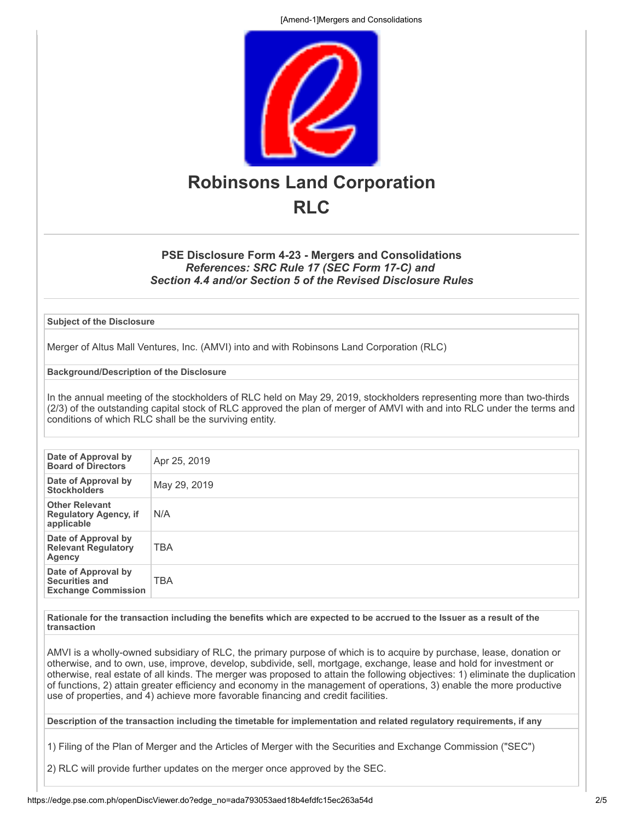[Amend-1]Mergers and Consolidations



## **PSE Disclosure Form 4-23 - Mergers and Consolidations** *References: SRC Rule 17 (SEC Form 17-C) and Section 4.4 and/or Section 5 of the Revised Disclosure Rules*

**Subject of the Disclosure**

Merger of Altus Mall Ventures, Inc. (AMVI) into and with Robinsons Land Corporation (RLC)

**Background/Description of the Disclosure**

In the annual meeting of the stockholders of RLC held on May 29, 2019, stockholders representing more than two-thirds (2/3) of the outstanding capital stock of RLC approved the plan of merger of AMVI with and into RLC under the terms and conditions of which RLC shall be the surviving entity.

| Date of Approval by<br><b>Board of Directors</b>                    | Apr 25, 2019 |
|---------------------------------------------------------------------|--------------|
| Date of Approval by<br><b>Stockholders</b>                          | May 29, 2019 |
| <b>Other Relevant</b><br><b>Regulatory Agency, if</b><br>applicable | N/A          |
| Date of Approval by<br><b>Relevant Regulatory</b><br>Agency         | <b>TBA</b>   |
| Date of Approval by<br>Securities and<br><b>Exchange Commission</b> | <b>TBA</b>   |

**Rationale for the transaction including the benefits which are expected to be accrued to the Issuer as a result of the transaction**

AMVI is a wholly-owned subsidiary of RLC, the primary purpose of which is to acquire by purchase, lease, donation or otherwise, and to own, use, improve, develop, subdivide, sell, mortgage, exchange, lease and hold for investment or otherwise, real estate of all kinds. The merger was proposed to attain the following objectives: 1) eliminate the duplication of functions, 2) attain greater efficiency and economy in the management of operations, 3) enable the more productive use of properties, and 4) achieve more favorable financing and credit facilities.

**Description of the transaction including the timetable for implementation and related regulatory requirements, if any**

1) Filing of the Plan of Merger and the Articles of Merger with the Securities and Exchange Commission ("SEC")

2) RLC will provide further updates on the merger once approved by the SEC.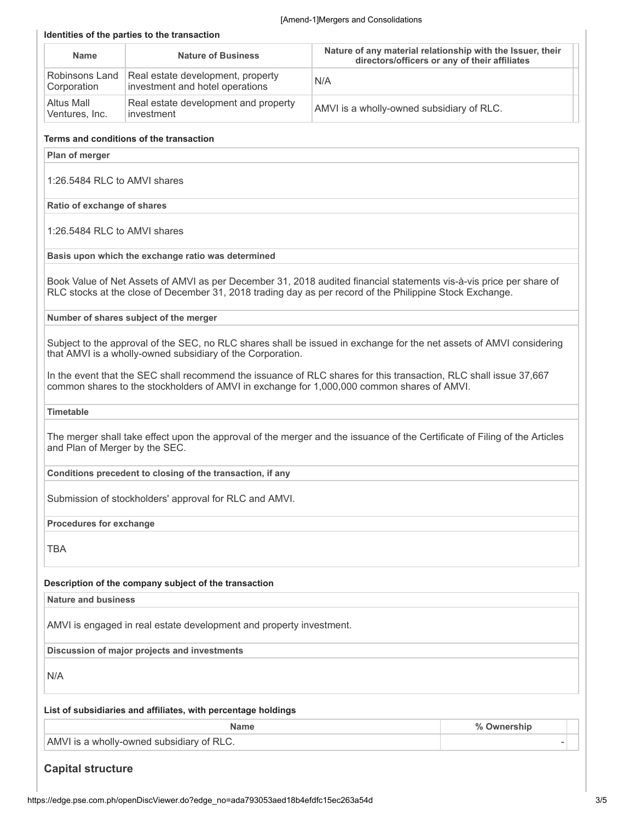|                                | Identities of the parties to the transaction                                               | [Amend-1]Mergers and Consolidations                                                                                                                                                                                             |
|--------------------------------|--------------------------------------------------------------------------------------------|---------------------------------------------------------------------------------------------------------------------------------------------------------------------------------------------------------------------------------|
| <b>Name</b>                    | <b>Nature of Business</b>                                                                  | Nature of any material relationship with the Issuer, their<br>directors/officers or any of their affiliates                                                                                                                     |
| Robinsons Land<br>Corporation  | Real estate development, property<br>investment and hotel operations                       | N/A                                                                                                                                                                                                                             |
| Altus Mall<br>Ventures, Inc.   | Real estate development and property<br>investment                                         | AMVI is a wholly-owned subsidiary of RLC.                                                                                                                                                                                       |
|                                | Terms and conditions of the transaction                                                    |                                                                                                                                                                                                                                 |
| Plan of merger                 |                                                                                            |                                                                                                                                                                                                                                 |
| 1:26.5484 RLC to AMVI shares   |                                                                                            |                                                                                                                                                                                                                                 |
| Ratio of exchange of shares    |                                                                                            |                                                                                                                                                                                                                                 |
| 1:26.5484 RLC to AMVI shares   |                                                                                            |                                                                                                                                                                                                                                 |
|                                | Basis upon which the exchange ratio was determined                                         |                                                                                                                                                                                                                                 |
|                                |                                                                                            | Book Value of Net Assets of AMVI as per December 31, 2018 audited financial statements vis-à-vis price per share of<br>RLC stocks at the close of December 31, 2018 trading day as per record of the Philippine Stock Exchange. |
|                                | Number of shares subject of the merger                                                     |                                                                                                                                                                                                                                 |
|                                | that AMVI is a wholly-owned subsidiary of the Corporation.                                 | Subject to the approval of the SEC, no RLC shares shall be issued in exchange for the net assets of AMVI considering                                                                                                            |
|                                | common shares to the stockholders of AMVI in exchange for 1,000,000 common shares of AMVI. | In the event that the SEC shall recommend the issuance of RLC shares for this transaction, RLC shall issue 37,667                                                                                                               |
| <b>Timetable</b>               |                                                                                            |                                                                                                                                                                                                                                 |
| and Plan of Merger by the SEC. |                                                                                            | The merger shall take effect upon the approval of the merger and the issuance of the Certificate of Filing of the Articles                                                                                                      |
|                                | Conditions precedent to closing of the transaction, if any                                 |                                                                                                                                                                                                                                 |
|                                | Submission of stockholders' approval for RLC and AMVI.                                     |                                                                                                                                                                                                                                 |
| Procedures for exchange        |                                                                                            |                                                                                                                                                                                                                                 |
| <b>TBA</b>                     |                                                                                            |                                                                                                                                                                                                                                 |

#### **Description of the company subject of the transaction**

**Nature and business**

AMVI is engaged in real estate development and property investment.

**Discussion of major projects and investments**

N/A

#### **List of subsidiaries and affiliates, with percentage holdings**

|                                           | vnershin |  |
|-------------------------------------------|----------|--|
| AMVI is a wholly-owned subsidiary of RLC. |          |  |

# **Capital structure**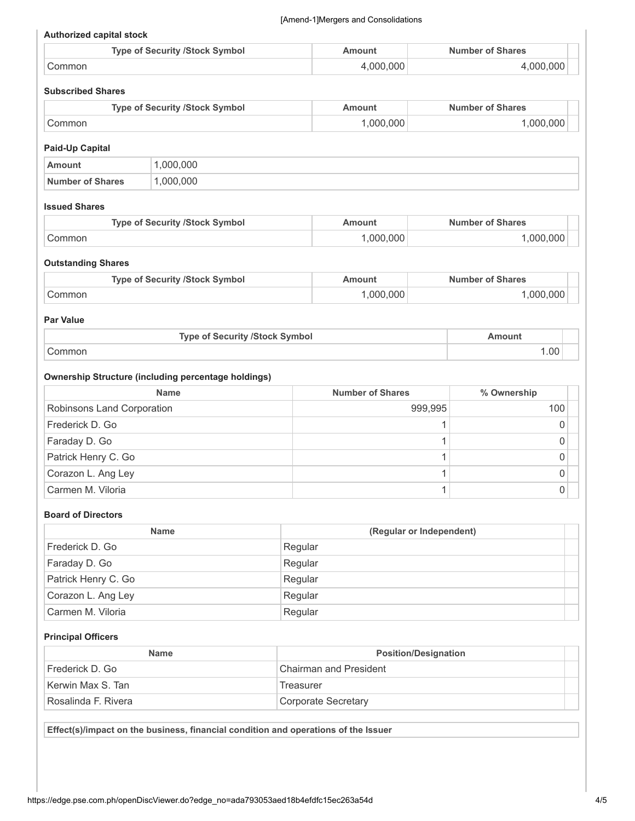#### **Authorized capital stock**

| <b>Type of Security /Stock Symbol</b> | Amount    | <b>Number of Shares</b> |
|---------------------------------------|-----------|-------------------------|
| Common                                | 4.000.000 | +.000.000               |

### **Subscribed Shares**

| <b>Type of Security /Stock Symbol</b> | Amount  | <b>Number of Shares</b> |
|---------------------------------------|---------|-------------------------|
| ∴ommon                                | 000.000 | $000.000$ .             |

#### **Paid-Up Capital**

|                  | 000.000 |
|------------------|---------|
| Number of Shares | 000.000 |

#### **Issued Shares**

| <b>Type of Security /Stock Symbol</b> | mount   | <b>Number of Shares</b> |
|---------------------------------------|---------|-------------------------|
| Common                                | 000.000 | .000.000                |

#### **Outstanding Shares**

| <b>Type of Security /Stock Symbol</b> | nount    | <b>Number of Shares</b> |
|---------------------------------------|----------|-------------------------|
| `ommon                                | .000.000 | 000.000                 |

#### **Par Value**

| <b>Type of Security /Stock Symbol</b> | Amount |  |
|---------------------------------------|--------|--|
| こommon                                | 1.00   |  |

### **Ownership Structure (including percentage holdings)**

| <b>Name</b>                | <b>Number of Shares</b> | % Ownership |  |
|----------------------------|-------------------------|-------------|--|
| Robinsons Land Corporation | 999,995                 | 100         |  |
| Frederick D. Go            |                         |             |  |
| Faraday D. Go              |                         |             |  |
| Patrick Henry C. Go        |                         |             |  |
| Corazon L. Ang Ley         |                         |             |  |
| Carmen M. Viloria          |                         |             |  |

#### **Board of Directors**

| <b>Name</b>         | (Regular or Independent) |  |
|---------------------|--------------------------|--|
| Frederick D. Go     | Regular                  |  |
| Faraday D. Go       | Regular                  |  |
| Patrick Henry C. Go | Regular                  |  |
| Corazon L. Ang Ley  | Regular                  |  |
| Carmen M. Viloria   | Regular                  |  |

#### **Principal Officers**

| <b>Name</b>         | <b>Position/Designation</b>   |  |
|---------------------|-------------------------------|--|
| Frederick D. Go     | <b>Chairman and President</b> |  |
| Kerwin Max S. Tan   | Treasurer                     |  |
| Rosalinda F. Rivera | Corporate Secretary           |  |

**Effect(s)/impact on the business, financial condition and operations of the Issuer**